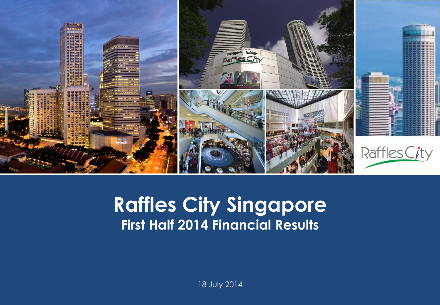

#### **Capital Raffles City Singapore Presentation Template First Half 2014 Financial Results**

18 July 2014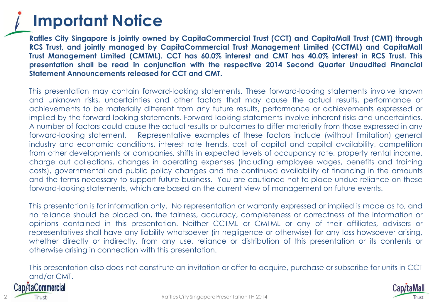#### **Important Notice**

**Raffles City Singapore is jointly owned by CapitaCommercial Trust (CCT) and CapitaMall Trust (CMT) through RCS Trust, and jointly managed by CapitaCommercial Trust Management Limited (CCTML) and CapitaMall Trust Management Limited (CMTML). CCT has 60.0% interest and CMT has 40.0% interest in RCS Trust. This presentation shall be read in conjunction with the respective 2014 Second Quarter Unaudited Financial Statement Announcements released for CCT and CMT.**

This presentation may contain forward-looking statements. These forward-looking statements involve known and unknown risks, uncertainties and other factors that may cause the actual results, performance or achievements to be materially different from any future results, performance or achievements expressed or implied by the forward-looking statements. Forward-looking statements involve inherent risks and uncertainties. A number of factors could cause the actual results or outcomes to differ materially from those expressed in any forward-looking statement. Representative examples of these factors include (without limitation) general industry and economic conditions, interest rate trends, cost of capital and capital availability, competition from other developments or companies, shifts in expected levels of occupancy rate, property rental income, charge out collections, changes in operating expenses (including employee wages, benefits and training costs), governmental and public policy changes and the continued availability of financing in the amounts and the terms necessary to support future business. You are cautioned not to place undue reliance on these forward-looking statements, which are based on the current view of management on future events.

This presentation is for information only. No representation or warranty expressed or implied is made as to, and no reliance should be placed on, the fairness, accuracy, completeness or correctness of the information or opinions contained in this presentation. Neither CCTML or CMTML or any of their affiliates, advisers or representatives shall have any liability whatsoever (in negligence or otherwise) for any loss howsoever arising, whether directly or indirectly, from any use, reliance or distribution of this presentation or its contents or otherwise arising in connection with this presentation.

This presentation also does not constitute an invitation or offer to acquire, purchase or subscribe for units in CCT and/or CMT.

#### taCommercial

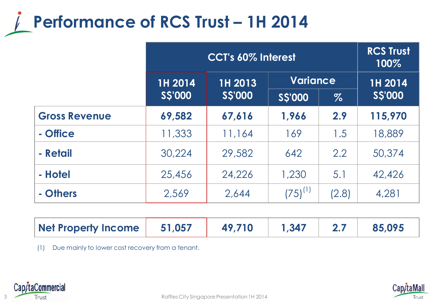### **Performance of RCS Trust - 1H 2014**

|                      | <b>CCT's 60% Interest</b> |               |                 | <b>RCS Trust</b><br>100% |               |
|----------------------|---------------------------|---------------|-----------------|--------------------------|---------------|
|                      | 1H 2014                   | 1H 2013       | <b>Variance</b> |                          | 1H 2014       |
|                      | <b>SS'000</b>             | <b>SS'000</b> | <b>SS'000</b>   | $\%$                     | <b>SS'000</b> |
| <b>Gross Revenue</b> | 69,582                    | 67,616        | 1,966           | 2.9                      | 115,970       |
| - Office             | 11,333                    | 11,164        | 169             | 1.5                      | 18,889        |
| - Retail             | 30,224                    | 29,582        | 642             | 2.2                      | 50,374        |
| - Hotel              | 25,456                    | 24,226        | 1,230           | 5.1                      | 42,426        |
| - Others             | 2,569                     | 2,644         | $(75)^{(1)}$    | (2.8)                    | 4,281         |

| Net Property Income | 51,057 | 49,710 | $\parallel$ 1.347 | 85,095 |
|---------------------|--------|--------|-------------------|--------|
|                     |        |        |                   |        |

(1) Due mainly to lower cost recovery from a tenant.



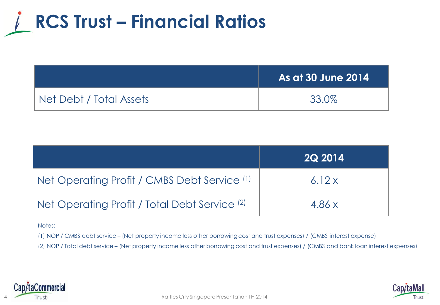

|                         | <b>As at 30 June 2014</b> |
|-------------------------|---------------------------|
| Net Debt / Total Assets | 33.0%                     |

|                                                          | <b>2Q 2014</b> |
|----------------------------------------------------------|----------------|
| Net Operating Profit / CMBS Debt Service (1)             | 6.12x          |
| Net Operating Profit / Total Debt Service <sup>(2)</sup> | 4.86x          |

#### Notes:

(1) NOP / CMBS debt service – (Net property income less other borrowing cost and trust expenses) / (CMBS interest expense)

(2) NOP / Total debt service – (Net property income less other borrowing cost and trust expenses) / (CMBS and bank loan interest expenses)



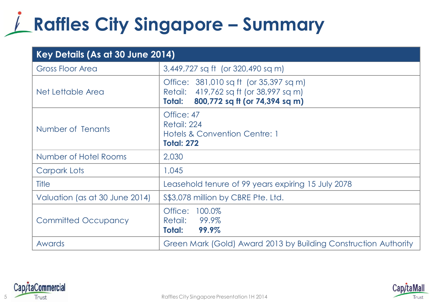# **Raffles City Singapore – Summary**

| Key Details (As at 30 June 2014) |                                                                                                                              |  |
|----------------------------------|------------------------------------------------------------------------------------------------------------------------------|--|
| <b>Gross Floor Area</b>          | 3,449,727 sq ft (or 320,490 sq m)                                                                                            |  |
| Net Lettable Area                | Office: 381,010 sq ft (or 35,397 sq m)<br>Retail: 419,762 sq ft (or 38,997 sq m)<br>800,772 sq ft (or 74,394 sq m)<br>Total: |  |
| Number of Tenants                | Office: 47<br>Retail: 224<br><b>Hotels &amp; Convention Centre: 1</b><br><b>Total: 272</b>                                   |  |
| Number of Hotel Rooms            | 2,030                                                                                                                        |  |
| Carpark Lots                     | 1,045                                                                                                                        |  |
| <b>Title</b>                     | Leasehold tenure of 99 years expiring 15 July 2078                                                                           |  |
| Valuation (as at 30 June 2014)   | \$\$3,078 million by CBRE Pte. Ltd.                                                                                          |  |
| <b>Committed Occupancy</b>       | 100.0%<br>Office:<br>99.9%<br>Retail:<br>99.9%<br>Total:                                                                     |  |
| Awards                           | Green Mark (Gold) Award 2013 by Building Construction Authority                                                              |  |



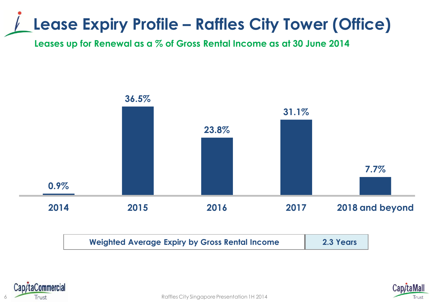### **Lease Expiry Profile – Raffles City Tower (Office)**

**Leases up for Renewal as a % of Gross Rental Income as at 30 June 2014**







6 Raffles City Singapore Presentation 1H 2014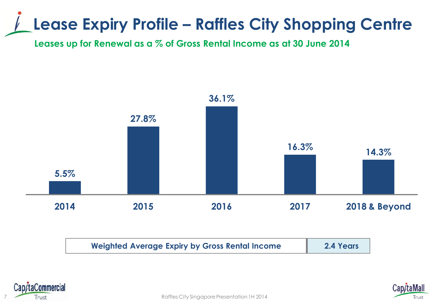### **Lease Expiry Profile – Raffles City Shopping Centre**

**Leases up for Renewal as a % of Gross Rental Income as at 30 June 2014**







7 Raffles City Singapore Presentation 1H 2014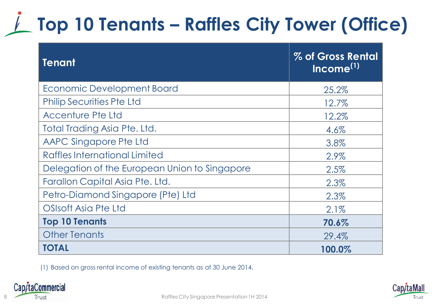# **Top 10 Tenants – Raffles City Tower (Office)**

| <b>Tenant</b>                                 | % of Gross Rental<br>Income <sup>(1)</sup> |
|-----------------------------------------------|--------------------------------------------|
| Economic Development Board                    | 25.2%                                      |
| <b>Philip Securities Pte Ltd</b>              | 12.7%                                      |
| Accenture Pte Ltd                             | 12.2%                                      |
| Total Trading Asia Pte. Ltd.                  | 4.6%                                       |
| AAPC Singapore Pte Ltd                        | 3.8%                                       |
| Raffles International Limited                 | 2.9%                                       |
| Delegation of the European Union to Singapore | 2.5%                                       |
| Farallon Capital Asia Pte. Ltd.               | 2.3%                                       |
| Petro-Diamond Singapore (Pte) Ltd             | 2.3%                                       |
| <b>OSIsoft Asia Pte Ltd</b>                   | 2.1%                                       |
| <b>Top 10 Tenants</b>                         | 70.6%                                      |
| <b>Other Tenants</b>                          | 29.4%                                      |
| <b>TOTAL</b>                                  | 100.0%                                     |

(1) Based on gross rental income of existing tenants as at 30 June 2014.



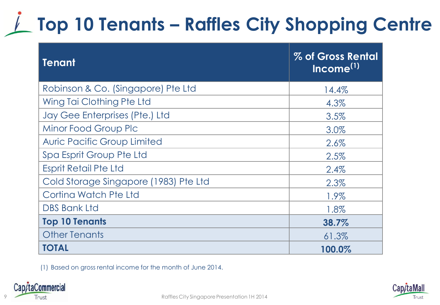# **Top 10 Tenants – Raffles City Shopping Centre**

| <b>Tenant</b>                         | % of Gross Rental<br>Income <sup>(1)</sup> |
|---------------------------------------|--------------------------------------------|
| Robinson & Co. (Singapore) Pte Ltd    | 14.4%                                      |
| Wing Tai Clothing Pte Ltd             | 4.3%                                       |
| Jay Gee Enterprises (Pte.) Ltd        | 3.5%                                       |
| Minor Food Group Plc                  | 3.0%                                       |
| <b>Auric Pacific Group Limited</b>    | 2.6%                                       |
| Spa Esprit Group Pte Ltd              | 2.5%                                       |
| <b>Esprit Retail Pte Ltd</b>          | 2.4%                                       |
| Cold Storage Singapore (1983) Pte Ltd | 2.3%                                       |
| Cortina Watch Pte Ltd                 | 1.9%                                       |
| <b>DBS Bank Ltd</b>                   | 1.8%                                       |
| <b>Top 10 Tenants</b>                 | 38.7%                                      |
| <b>Other Tenants</b>                  | 61.3%                                      |
| <b>TOTAL</b>                          | 100.0%                                     |

(1) Based on gross rental income for the month of June 2014.



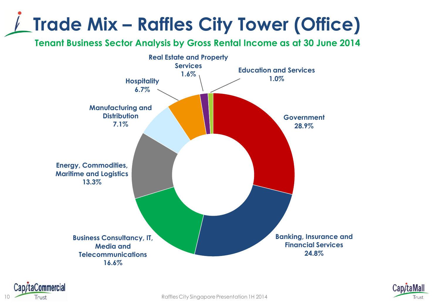# **Trade Mix – Raffles City Tower (Office)**

**Tenant Business Sector Analysis by Gross Rental Income as at 30 June 2014**





10 **Trust Trust Raffles City Singapore Presentation 1H 2014** 

p/taCommercial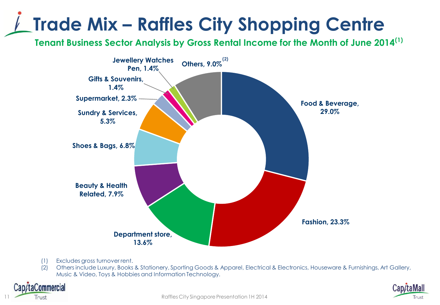# **Trade Mix – Raffles City Shopping Centre**

**Tenant Business Sector Analysis by Gross Rental Income for the Month of June 2014(1)**



- (1) Excludes gross turnover rent.
- (2) Others include Luxury, Books & Stationery, Sporting Goods & Apparel, Electrical & Electronics, Houseware & Furnishings, Art Gallery, Music & Video, Toys & Hobbies and Information Technology.



11 Raffles City Singapore Presentation 1H 2014

taCommercial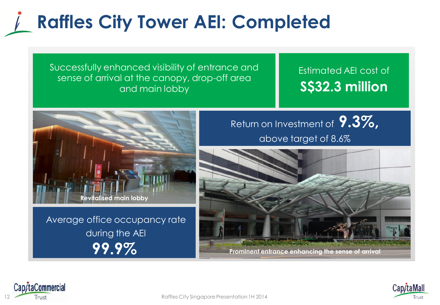## **Raffles City Tower AEI: Completed**

Successfully enhanced visibility of entrance and sense of arrival at the canopy, drop-off area and main lobby

#### Estimated AEI cost of **S\$32.3 million**



Average office occupancy rate during the AEI **99.9%** 

Return on Investment of **9.3%,**  above target of 8.6%